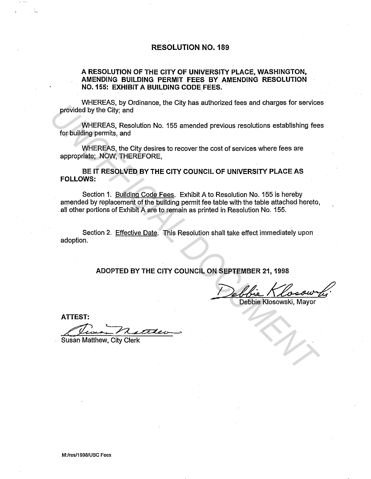## RESOLUTION N0.189

## A RESOLUTION OF THE CITY OF UNIVERSITY PLACE, WASHINGTON, AMENDING BUILDING PERMIT FEES BY AMENDING RESOLUTION N0.155: EXHIBIT A BUILDING CODE FEES ..

WHEREAS, by Ordinance, the City has authorized fees and charges for services provided by the City; and

WHEREAS, Resolution No. 155 amended previous resolutions establishing fees for building permits, and

WHEREAS, the City desires to recover the cost of services where fees are appropriate; NOW, THEREFORE,

BE IT RESOLVED BY THE CITY COUNCIL OF UNIVERSITY PLACE AS FOLLOWS:

Section 1. Building Code Fees. Exhibit A to Resolution No. 155 is hereby amended by replacement of the building permit fee table with the table attached hereto, all other portions of Exhibit A are to remain as printed in Resolution No. 155. **EXECUTIVE AND METALLY AND SERVED BY THE CITY COUNCIL ON SEPTEMBER 21, 1998<br>ATTEST:**<br>WHEREAS, Resolution No. 155 amended previous resolutions establishing fee<br>for building permits, and<br>appropriate, NOW, THEREFORE,<br>BE IT RE

Section 2. Effective Date. This Resolution shall take effect immediately upon adoption.

ADOPTED BY THE CITY COUNCIL ON SEPTEMBER 21, 1998

Debbie Klosowski, Mayor

ATTEST: *LJiQ ...* 

Susan Matthew, City Clerk